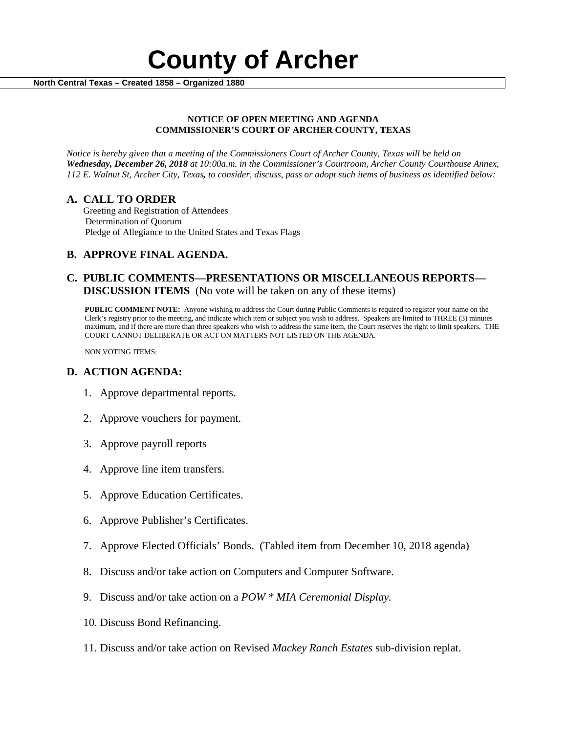

#### **NOTICE OF OPEN MEETING AND AGENDA COMMISSIONER'S COURT OF ARCHER COUNTY, TEXAS**

*Notice is hereby given that a meeting of the Commissioners Court of Archer County, Texas will be held on Wednesday, December 26, 2018 at 10:00a.m. in the Commissioner's Courtroom, Archer County Courthouse Annex, 112 E. Walnut St, Archer City, Texas, to consider, discuss, pass or adopt such items of business as identified below:*

**A. CALL TO ORDER** Greeting and Registration of Attendees Determination of Quorum Pledge of Allegiance to the United States and Texas Flags

# **B. APPROVE FINAL AGENDA.**

# **C. PUBLIC COMMENTS—PRESENTATIONS OR MISCELLANEOUS REPORTS— DISCUSSION ITEMS** (No vote will be taken on any of these items)

**PUBLIC COMMENT NOTE:** Anyone wishing to address the Court during Public Comments is required to register your name on the Clerk's registry prior to the meeting, and indicate which item or subject you wish to address. Speakers are limited to THREE (3) minutes maximum, and if there are more than three speakers who wish to address the same item, the Court reserves the right to limit speakers. THE COURT CANNOT DELIBERATE OR ACT ON MATTERS NOT LISTED ON THE AGENDA.

NON VOTING ITEMS:

### **D. ACTION AGENDA:**

- 1. Approve departmental reports.
- 2. Approve vouchers for payment.
- 3. Approve payroll reports
- 4. Approve line item transfers.
- 5. Approve Education Certificates.
- 6. Approve Publisher's Certificates.
- 7. Approve Elected Officials' Bonds. (Tabled item from December 10, 2018 agenda)
- 8. Discuss and/or take action on Computers and Computer Software.
- 9. Discuss and/or take action on a *POW \* MIA Ceremonial Display.*
- 10. Discuss Bond Refinancing.
- 11. Discuss and/or take action on Revised *Mackey Ranch Estates* sub-division replat.